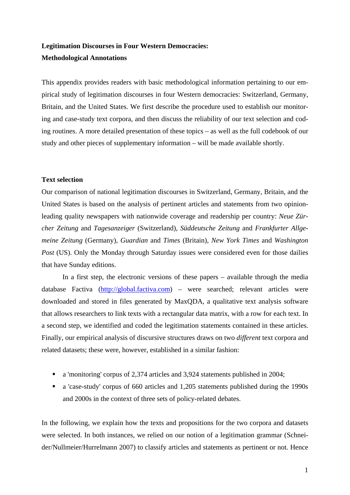# **Legitimation Discourses in Four Western Democracies: Methodological Annotations**

This appendix provides readers with basic methodological information pertaining to our empirical study of legitimation discourses in four Western democracies: Switzerland, Germany, Britain, and the United States. We first describe the procedure used to establish our monitoring and case-study text corpora, and then discuss the reliability of our text selection and coding routines. A more detailed presentation of these topics – as well as the full codebook of our study and other pieces of supplementary information – will be made available shortly.

#### **Text selection**

Our comparison of national legitimation discourses in Switzerland, Germany, Britain, and the United States is based on the analysis of pertinent articles and statements from two opinionleading quality newspapers with nationwide coverage and readership per country: *Neue Zürcher Zeitung* and *Tagesanzeiger* (Switzerland), *Süddeutsche Zeitung* and *Frankfurter Allgemeine Zeitung* (Germany), *Guardian* and *Times* (Britain), *New York Times* and *Washington Post* (US). Only the Monday through Saturday issues were considered even for those dailies that have Sunday editions.

 In a first step, the electronic versions of these papers – available through the media database Factiva (http://global.factiva.com) – were searched; relevant articles were downloaded and stored in files generated by MaxQDA, a qualitative text analysis software that allows researchers to link texts with a rectangular data matrix, with a row for each text. In a second step, we identified and coded the legitimation statements contained in these articles. Finally, our empirical analysis of discursive structures draws on two *different* text corpora and related datasets; these were, however, established in a similar fashion:

- a 'monitoring' corpus of 2,374 articles and 3,924 statements published in 2004;
- a 'case-study' corpus of 660 articles and 1,205 statements published during the 1990s and 2000s in the context of three sets of policy-related debates.

In the following, we explain how the texts and propositions for the two corpora and datasets were selected. In both instances, we relied on our notion of a legitimation grammar (Schneider/Nullmeier/Hurrelmann 2007) to classify articles and statements as pertinent or not. Hence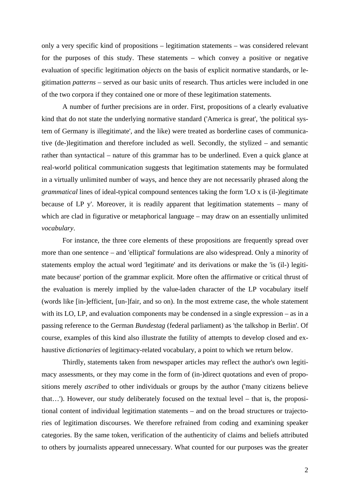only a very specific kind of propositions – legitimation statements – was considered relevant for the purposes of this study. These statements – which convey a positive or negative evaluation of specific legitimation *objects* on the basis of explicit normative standards, or legitimation *patterns* – served as our basic units of research. Thus articles were included in one of the two corpora if they contained one or more of these legitimation statements.

 A number of further precisions are in order. First, propositions of a clearly evaluative kind that do not state the underlying normative standard ('America is great', 'the political system of Germany is illegitimate', and the like) were treated as borderline cases of communicative (de-)legitimation and therefore included as well. Secondly, the stylized – and semantic rather than syntactical – nature of this grammar has to be underlined. Even a quick glance at real-world political communication suggests that legitimation statements may be formulated in a virtually unlimited number of ways, and hence they are not necessarily phrased along the *grammatical* lines of ideal-typical compound sentences taking the form 'LO x is (il-)legitimate because of LP y'. Moreover, it is readily apparent that legitimation statements – many of which are clad in figurative or metaphorical language – may draw on an essentially unlimited *vocabulary*.

For instance, the three core elements of these propositions are frequently spread over more than one sentence – and 'elliptical' formulations are also widespread. Only a minority of statements employ the actual word 'legitimate' and its derivations or make the 'is (il-) legitimate because' portion of the grammar explicit. More often the affirmative or critical thrust of the evaluation is merely implied by the value-laden character of the LP vocabulary itself (words like [in-]efficient, [un-]fair, and so on). In the most extreme case, the whole statement with its LO, LP, and evaluation components may be condensed in a single expression – as in a passing reference to the German *Bundestag* (federal parliament) as 'the talkshop in Berlin'. Of course, examples of this kind also illustrate the futility of attempts to develop closed and exhaustive *dictionaries* of legitimacy-related vocabulary, a point to which we return below.

Thirdly, statements taken from newspaper articles may reflect the author's own legitimacy assessments, or they may come in the form of (in-)direct quotations and even of propositions merely *ascribed* to other individuals or groups by the author ('many citizens believe that…'). However, our study deliberately focused on the textual level – that is, the propositional content of individual legitimation statements – and on the broad structures or trajectories of legitimation discourses. We therefore refrained from coding and examining speaker categories. By the same token, verification of the authenticity of claims and beliefs attributed to others by journalists appeared unnecessary. What counted for our purposes was the greater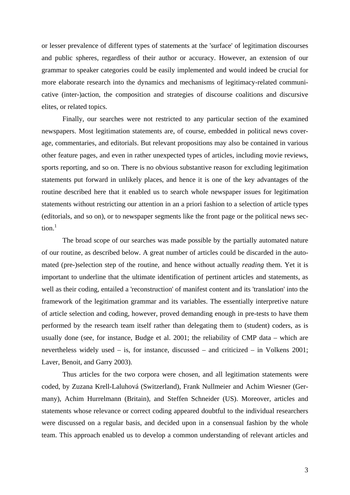or lesser prevalence of different types of statements at the 'surface' of legitimation discourses and public spheres, regardless of their author or accuracy. However, an extension of our grammar to speaker categories could be easily implemented and would indeed be crucial for more elaborate research into the dynamics and mechanisms of legitimacy-related communicative (inter-)action, the composition and strategies of discourse coalitions and discursive elites, or related topics.

 Finally, our searches were not restricted to any particular section of the examined newspapers. Most legitimation statements are, of course, embedded in political news coverage, commentaries, and editorials. But relevant propositions may also be contained in various other feature pages, and even in rather unexpected types of articles, including movie reviews, sports reporting, and so on. There is no obvious substantive reason for excluding legitimation statements put forward in unlikely places, and hence it is one of the key advantages of the routine described here that it enabled us to search whole newspaper issues for legitimation statements without restricting our attention in an a priori fashion to a selection of article types (editorials, and so on), or to newspaper segments like the front page or the political news sec $tion<sup>1</sup>$ 

 The broad scope of our searches was made possible by the partially automated nature of our routine, as described below. A great number of articles could be discarded in the automated (pre-)selection step of the routine, and hence without actually *reading* them. Yet it is important to underline that the ultimate identification of pertinent articles and statements, as well as their coding, entailed a 'reconstruction' of manifest content and its 'translation' into the framework of the legitimation grammar and its variables. The essentially interpretive nature of article selection and coding, however, proved demanding enough in pre-tests to have them performed by the research team itself rather than delegating them to (student) coders, as is usually done (see, for instance, Budge et al. 2001; the reliability of CMP data – which are nevertheless widely used – is, for instance, discussed – and criticized – in Volkens 2001; Laver, Benoit, and Garry 2003).

 Thus articles for the two corpora were chosen, and all legitimation statements were coded, by Zuzana Krell-Laluhová (Switzerland), Frank Nullmeier and Achim Wiesner (Germany), Achim Hurrelmann (Britain), and Steffen Schneider (US). Moreover, articles and statements whose relevance or correct coding appeared doubtful to the individual researchers were discussed on a regular basis, and decided upon in a consensual fashion by the whole team. This approach enabled us to develop a common understanding of relevant articles and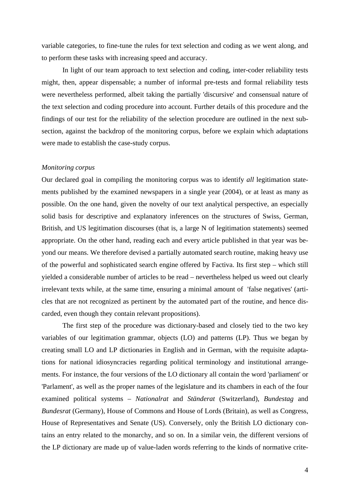variable categories, to fine-tune the rules for text selection and coding as we went along, and to perform these tasks with increasing speed and accuracy.

In light of our team approach to text selection and coding, inter-coder reliability tests might, then, appear dispensable; a number of informal pre-tests and formal reliability tests were nevertheless performed, albeit taking the partially 'discursive' and consensual nature of the text selection and coding procedure into account. Further details of this procedure and the findings of our test for the reliability of the selection procedure are outlined in the next subsection, against the backdrop of the monitoring corpus, before we explain which adaptations were made to establish the case-study corpus.

## *Monitoring corpus*

Our declared goal in compiling the monitoring corpus was to identify *all* legitimation statements published by the examined newspapers in a single year (2004), or at least as many as possible. On the one hand, given the novelty of our text analytical perspective, an especially solid basis for descriptive and explanatory inferences on the structures of Swiss, German, British, and US legitimation discourses (that is, a large N of legitimation statements) seemed appropriate. On the other hand, reading each and every article published in that year was beyond our means. We therefore devised a partially automated search routine, making heavy use of the powerful and sophisticated search engine offered by Factiva. Its first step – which still yielded a considerable number of articles to be read – nevertheless helped us weed out clearly irrelevant texts while, at the same time, ensuring a minimal amount of 'false negatives' (articles that are not recognized as pertinent by the automated part of the routine, and hence discarded, even though they contain relevant propositions).

 The first step of the procedure was dictionary-based and closely tied to the two key variables of our legitimation grammar, objects (LO) and patterns (LP). Thus we began by creating small LO and LP dictionaries in English and in German, with the requisite adaptations for national idiosyncracies regarding political terminology and institutional arrangements. For instance, the four versions of the LO dictionary all contain the word 'parliament' or 'Parlament', as well as the proper names of the legislature and its chambers in each of the four examined political systems – *Nationalrat* and *Ständerat* (Switzerland), *Bundestag* and *Bundesrat* (Germany), House of Commons and House of Lords (Britain), as well as Congress, House of Representatives and Senate (US). Conversely, only the British LO dictionary contains an entry related to the monarchy, and so on. In a similar vein, the different versions of the LP dictionary are made up of value-laden words referring to the kinds of normative crite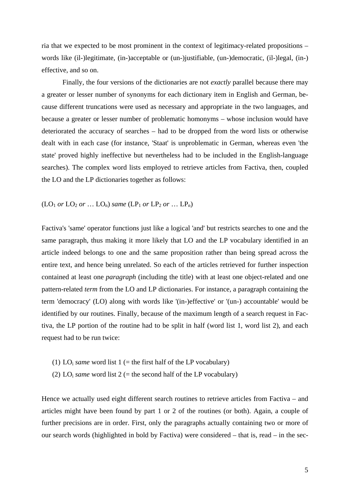ria that we expected to be most prominent in the context of legitimacy-related propositions – words like (il-)legitimate, (in-)acceptable or (un-)justifiable, (un-)democratic, (il-)legal, (in-) effective, and so on.

Finally, the four versions of the dictionaries are not *exactly* parallel because there may a greater or lesser number of synonyms for each dictionary item in English and German, because different truncations were used as necessary and appropriate in the two languages, and because a greater or lesser number of problematic homonyms – whose inclusion would have deteriorated the accuracy of searches – had to be dropped from the word lists or otherwise dealt with in each case (for instance, 'Staat' is unproblematic in German, whereas even 'the state' proved highly ineffective but nevertheless had to be included in the English-language searches). The complex word lists employed to retrieve articles from Factiva, then, coupled the LO and the LP dictionaries together as follows:

## $(LO_1 \text{ or } LO_2 \text{ or } ... \text{ } LO_n)$  *same*  $(LP_1 \text{ or } LP_2 \text{ or } ... \text{ } LP_n)$

Factiva's 'same' operator functions just like a logical 'and' but restricts searches to one and the same paragraph, thus making it more likely that LO and the LP vocabulary identified in an article indeed belongs to one and the same proposition rather than being spread across the entire text, and hence being unrelated. So each of the articles retrieved for further inspection contained at least one *paragraph* (including the title) with at least one object-related and one pattern-related *term* from the LO and LP dictionaries. For instance, a paragraph containing the term 'democracy' (LO) along with words like '(in-)effective' or '(un-) accountable' would be identified by our routines. Finally, because of the maximum length of a search request in Factiva, the LP portion of the routine had to be split in half (word list 1, word list 2), and each request had to be run twice:

- (1) LO<sub>i</sub> *same* word list 1 (= the first half of the LP vocabulary)
- (2) LO<sub>i</sub> *same* word list 2 (= the second half of the LP vocabulary)

Hence we actually used eight different search routines to retrieve articles from Factiva – and articles might have been found by part 1 or 2 of the routines (or both). Again, a couple of further precisions are in order. First, only the paragraphs actually containing two or more of our search words (highlighted in bold by Factiva) were considered – that is, read – in the sec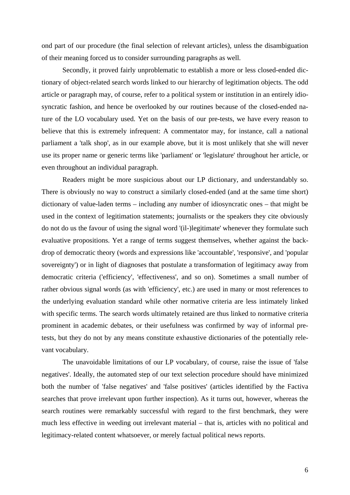ond part of our procedure (the final selection of relevant articles), unless the disambiguation of their meaning forced us to consider surrounding paragraphs as well.

Secondly, it proved fairly unproblematic to establish a more or less closed-ended dictionary of object-related search words linked to our hierarchy of legitimation objects. The odd article or paragraph may, of course, refer to a political system or institution in an entirely idiosyncratic fashion, and hence be overlooked by our routines because of the closed-ended nature of the LO vocabulary used. Yet on the basis of our pre-tests, we have every reason to believe that this is extremely infrequent: A commentator may, for instance, call a national parliament a 'talk shop', as in our example above, but it is most unlikely that she will never use its proper name or generic terms like 'parliament' or 'legislature' throughout her article, or even throughout an individual paragraph.

 Readers might be more suspicious about our LP dictionary, and understandably so. There is obviously no way to construct a similarly closed-ended (and at the same time short) dictionary of value-laden terms – including any number of idiosyncratic ones – that might be used in the context of legitimation statements; journalists or the speakers they cite obviously do not do us the favour of using the signal word '(il-)legitimate' whenever they formulate such evaluative propositions. Yet a range of terms suggest themselves, whether against the backdrop of democratic theory (words and expressions like 'accountable', 'responsive', and 'popular sovereignty') or in light of diagnoses that postulate a transformation of legitimacy away from democratic criteria ('efficiency', 'effectiveness', and so on). Sometimes a small number of rather obvious signal words (as with 'efficiency', etc.) are used in many or most references to the underlying evaluation standard while other normative criteria are less intimately linked with specific terms. The search words ultimately retained are thus linked to normative criteria prominent in academic debates, or their usefulness was confirmed by way of informal pretests, but they do not by any means constitute exhaustive dictionaries of the potentially relevant vocabulary.

 The unavoidable limitations of our LP vocabulary, of course, raise the issue of 'false negatives'. Ideally, the automated step of our text selection procedure should have minimized both the number of 'false negatives' and 'false positives' (articles identified by the Factiva searches that prove irrelevant upon further inspection). As it turns out, however, whereas the search routines were remarkably successful with regard to the first benchmark, they were much less effective in weeding out irrelevant material – that is, articles with no political and legitimacy-related content whatsoever, or merely factual political news reports.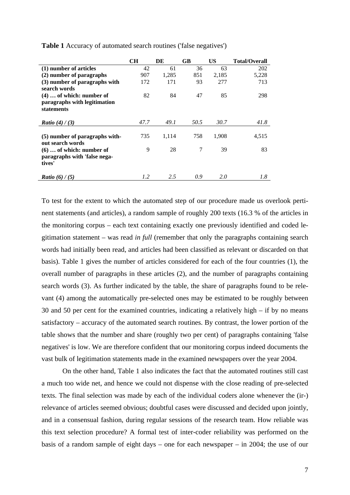|                                | <b>CH</b> | DE    | GB   | US    | <b>Total/Overall</b> |
|--------------------------------|-----------|-------|------|-------|----------------------|
| (1) number of articles         | 42        | 61    | 36   | 63    | 202                  |
| (2) number of paragraphs       | 907       | 1,285 | 851  | 2,185 | 5,228                |
| (3) number of paragraphs with  | 172       | 171   | 93   | 277   | 713                  |
| search words                   |           |       |      |       |                      |
| $(4)$ of which: number of      | 82        | 84    | 47   | 85    | 298                  |
| paragraphs with legitimation   |           |       |      |       |                      |
| statements                     |           |       |      |       |                      |
|                                |           |       |      |       |                      |
| <i>Ratio</i> (4) / (3)         | 47.7      | 49.1  | 50.5 | 30.7  | 41.8                 |
|                                |           |       |      |       |                      |
| (5) number of paragraphs with- | 735       | 1,114 | 758  | 1,908 | 4,515                |
| out search words               |           |       |      |       |                      |
| $(6)$ of which: number of      | 9         | 28    | 7    | 39    | 83                   |
| paragraphs with 'false nega-   |           |       |      |       |                      |
| tives'                         |           |       |      |       |                      |
|                                |           |       |      |       |                      |
| <b>Ratio</b> (6) / (5)         | 1.2       | 2.5   | 0.9  | 2.0   | 1.8                  |

**Table 1** Accuracy of automated search routines ('false negatives')

To test for the extent to which the automated step of our procedure made us overlook pertinent statements (and articles), a random sample of roughly 200 texts (16.3 % of the articles in the monitoring corpus – each text containing exactly one previously identified and coded legitimation statement – was read *in full* (remember that only the paragraphs containing search words had initially been read, and articles had been classified as relevant or discarded on that basis). Table 1 gives the number of articles considered for each of the four countries (1), the overall number of paragraphs in these articles (2), and the number of paragraphs containing search words (3). As further indicated by the table, the share of paragraphs found to be relevant (4) among the automatically pre-selected ones may be estimated to be roughly between 30 and 50 per cent for the examined countries, indicating a relatively high – if by no means satisfactory – accuracy of the automated search routines. By contrast, the lower portion of the table shows that the number and share (roughly two per cent) of paragraphs containing 'false negatives' is low. We are therefore confident that our monitoring corpus indeed documents the vast bulk of legitimation statements made in the examined newspapers over the year 2004.

On the other hand, Table 1 also indicates the fact that the automated routines still cast a much too wide net, and hence we could not dispense with the close reading of pre-selected texts. The final selection was made by each of the individual coders alone whenever the (ir-) relevance of articles seemed obvious; doubtful cases were discussed and decided upon jointly, and in a consensual fashion, during regular sessions of the research team. How reliable was this text selection procedure? A formal test of inter-coder reliability was performed on the basis of a random sample of eight days – one for each newspaper – in 2004; the use of our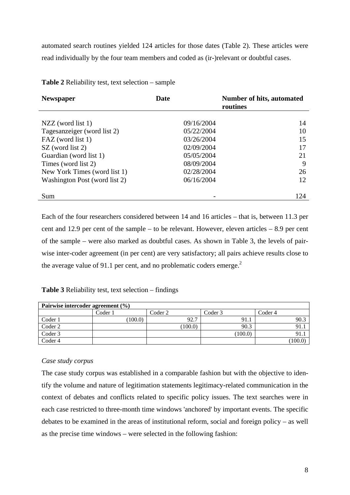automated search routines yielded 124 articles for those dates (Table 2). These articles were read individually by the four team members and coded as (ir-)relevant or doubtful cases.

| <b>Newspaper</b>              | Date                     | Number of hits, automated<br>routines |
|-------------------------------|--------------------------|---------------------------------------|
|                               |                          |                                       |
| $NZZ$ (word list 1)           | 09/16/2004               | 14                                    |
| Tagesanzeiger (word list 2)   | 05/22/2004               | 10                                    |
| FAZ (word list 1)             | 03/26/2004               | 15                                    |
| SZ (word list 2)              | 02/09/2004               | 17                                    |
| Guardian (word list 1)        | 05/05/2004               | 21                                    |
| Times (word list 2)           | 08/09/2004               | 9                                     |
| New York Times (word list 1)  | 02/28/2004               | 26                                    |
| Washington Post (word list 2) | 06/16/2004               | 12                                    |
| Sum                           | $\overline{\phantom{0}}$ | 124                                   |

**Table 2** Reliability test, text selection – sample

Each of the four researchers considered between 14 and 16 articles – that is, between 11.3 per cent and 12.9 per cent of the sample – to be relevant. However, eleven articles – 8.9 per cent of the sample – were also marked as doubtful cases. As shown in Table 3, the levels of pairwise inter-coder agreement (in per cent) are very satisfactory; all pairs achieve results close to the average value of 91.1 per cent, and no problematic coders emerge.<sup>2</sup>

## **Table 3** Reliability test, text selection – findings

| Pairwise intercoder agreement (%) |         |         |         |         |
|-----------------------------------|---------|---------|---------|---------|
|                                   | Coder 1 | Coder 2 | Coder 3 | Coder 4 |
| Coder 1                           | 100.0   | 92.7    | 91.1    | 90.3    |
| Coder 2                           |         | (100.0) | 90.3    | 91.     |
| Coder 3                           |         |         | (100.0) | 91.     |
| Coder 4                           |         |         |         | (100.0) |

## *Case study corpus*

The case study corpus was established in a comparable fashion but with the objective to identify the volume and nature of legitimation statements legitimacy-related communication in the context of debates and conflicts related to specific policy issues. The text searches were in each case restricted to three-month time windows 'anchored' by important events. The specific debates to be examined in the areas of institutional reform, social and foreign policy – as well as the precise time windows – were selected in the following fashion: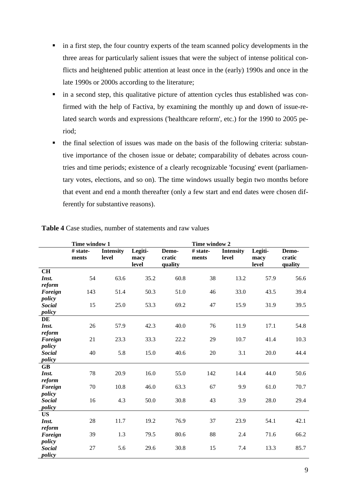- in a first step, the four country experts of the team scanned policy developments in the three areas for particularly salient issues that were the subject of intense political conflicts and heightened public attention at least once in the (early) 1990s and once in the late 1990s or 2000s according to the literature;
- in a second step, this qualitative picture of attention cycles thus established was confirmed with the help of Factiva, by examining the monthly up and down of issue-related search words and expressions ('healthcare reform', etc.) for the 1990 to 2005 period;
- the final selection of issues was made on the basis of the following criteria: substantive importance of the chosen issue or debate; comparability of debates across countries and time periods; existence of a clearly recognizable 'focusing' event (parliamentary votes, elections, and so on). The time windows usually begin two months before that event and end a month thereafter (only a few start and end dates were chosen differently for substantive reasons).

|                         | Time window 1     |                           | Time window 2            |                            |                   |                           |                          |                            |
|-------------------------|-------------------|---------------------------|--------------------------|----------------------------|-------------------|---------------------------|--------------------------|----------------------------|
|                         | # state-<br>ments | <b>Intensity</b><br>level | Legiti-<br>macy<br>level | Demo-<br>cratic<br>quality | # state-<br>ments | <b>Intensity</b><br>level | Legiti-<br>macy<br>level | Demo-<br>cratic<br>quality |
| CH                      |                   |                           |                          |                            |                   |                           |                          |                            |
| Inst.                   | 54                | 63.6                      | 35.2                     | 60.8                       | 38                | 13.2                      | 57.9                     | 56.6                       |
| reform                  |                   |                           |                          |                            |                   |                           |                          |                            |
| Foreign                 | 143               | 51.4                      | 50.3                     | 51.0                       | 46                | 33.0                      | 43.5                     | 39.4                       |
| policy                  |                   |                           |                          |                            |                   |                           |                          |                            |
| <b>Social</b>           | 15                | 25.0                      | 53.3                     | 69.2                       | 47                | 15.9                      | 31.9                     | 39.5                       |
| policy                  |                   |                           |                          |                            |                   |                           |                          |                            |
| DE                      |                   |                           |                          |                            |                   |                           |                          |                            |
| Inst.                   | 26                | 57.9                      | 42.3                     | 40.0                       | 76                | 11.9                      | 17.1                     | 54.8                       |
| reform                  |                   |                           |                          |                            |                   |                           |                          |                            |
| Foreign                 | 21                | 23.3                      | 33.3                     | 22.2                       | 29                | 10.7                      | 41.4                     | 10.3                       |
| policy                  |                   |                           |                          |                            |                   |                           |                          |                            |
| <b>Social</b>           | 40                | 5.8                       | 15.0                     | 40.6                       | 20                | 3.1                       | 20.0                     | 44.4                       |
| policy                  |                   |                           |                          |                            |                   |                           |                          |                            |
| <b>GB</b>               |                   |                           |                          |                            |                   |                           |                          |                            |
| Inst.                   | 78                | 20.9                      | 16.0                     | 55.0                       | 142               | 14.4                      | 44.0                     | 50.6                       |
| reform                  |                   |                           |                          |                            |                   |                           |                          |                            |
| Foreign                 | 70                | 10.8                      | 46.0                     | 63.3                       | 67                | 9.9                       | 61.0                     | 70.7                       |
| policy<br><b>Social</b> | 16                | 4.3                       | 50.0                     | 30.8                       | 43                | 3.9                       | 28.0                     | 29.4                       |
| policy                  |                   |                           |                          |                            |                   |                           |                          |                            |
| <b>US</b>               |                   |                           |                          |                            |                   |                           |                          |                            |
| Inst.                   | 28                | 11.7                      | 19.2                     | 76.9                       | 37                | 23.9                      | 54.1                     | 42.1                       |
| reform                  |                   |                           |                          |                            |                   |                           |                          |                            |
| Foreign                 | 39                | 1.3                       | 79.5                     | 80.6                       | 88                | 2.4                       | 71.6                     | 66.2                       |
| policy                  |                   |                           |                          |                            |                   |                           |                          |                            |
| <b>Social</b>           | $27\,$            | 5.6                       | 29.6                     | 30.8                       | 15                | 7.4                       | 13.3                     | 85.7                       |
| policy                  |                   |                           |                          |                            |                   |                           |                          |                            |

**Table 4** Case studies, number of statements and raw values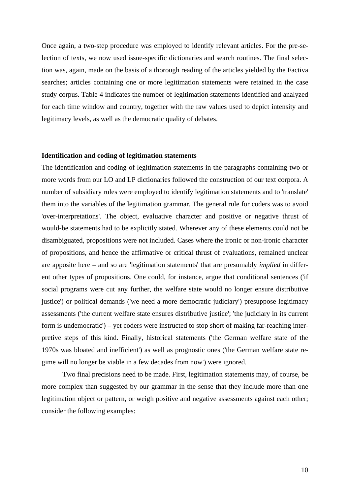Once again, a two-step procedure was employed to identify relevant articles. For the pre-selection of texts, we now used issue-specific dictionaries and search routines. The final selection was, again, made on the basis of a thorough reading of the articles yielded by the Factiva searches; articles containing one or more legitimation statements were retained in the case study corpus. Table 4 indicates the number of legitimation statements identified and analyzed for each time window and country, together with the raw values used to depict intensity and legitimacy levels, as well as the democratic quality of debates.

#### **Identification and coding of legitimation statements**

The identification and coding of legitimation statements in the paragraphs containing two or more words from our LO and LP dictionaries followed the construction of our text corpora. A number of subsidiary rules were employed to identify legitimation statements and to 'translate' them into the variables of the legitimation grammar. The general rule for coders was to avoid 'over-interpretations'. The object, evaluative character and positive or negative thrust of would-be statements had to be explicitly stated. Wherever any of these elements could not be disambiguated, propositions were not included. Cases where the ironic or non-ironic character of propositions, and hence the affirmative or critical thrust of evaluations, remained unclear are apposite here – and so are 'legitimation statements' that are presumably *implied* in different other types of propositions. One could, for instance, argue that conditional sentences ('if social programs were cut any further, the welfare state would no longer ensure distributive justice') or political demands ('we need a more democratic judiciary') presuppose legitimacy assessments ('the current welfare state ensures distributive justice'; 'the judiciary in its current form is undemocratic') – yet coders were instructed to stop short of making far-reaching interpretive steps of this kind. Finally, historical statements ('the German welfare state of the 1970s was bloated and inefficient') as well as prognostic ones ('the German welfare state regime will no longer be viable in a few decades from now') were ignored.

 Two final precisions need to be made. First, legitimation statements may, of course, be more complex than suggested by our grammar in the sense that they include more than one legitimation object or pattern, or weigh positive and negative assessments against each other; consider the following examples: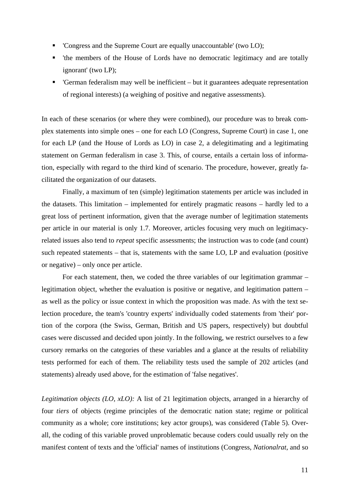- 'Congress and the Supreme Court are equally unaccountable' (two LO);
- 'the members of the House of Lords have no democratic legitimacy and are totally ignorant' (two LP);
- 'German federalism may well be inefficient but it guarantees adequate representation of regional interests) (a weighing of positive and negative assessments).

In each of these scenarios (or where they were combined), our procedure was to break complex statements into simple ones – one for each LO (Congress, Supreme Court) in case 1, one for each LP (and the House of Lords as LO) in case 2, a delegitimating and a legitimating statement on German federalism in case 3. This, of course, entails a certain loss of information, especially with regard to the third kind of scenario. The procedure, however, greatly facilitated the organization of our datasets.

 Finally, a maximum of ten (simple) legitimation statements per article was included in the datasets. This limitation – implemented for entirely pragmatic reasons – hardly led to a great loss of pertinent information, given that the average number of legitimation statements per article in our material is only 1.7. Moreover, articles focusing very much on legitimacyrelated issues also tend to *repeat* specific assessments; the instruction was to code (and count) such repeated statements – that is, statements with the same LO, LP and evaluation (positive or negative) – only once per article.

 For each statement, then, we coded the three variables of our legitimation grammar – legitimation object, whether the evaluation is positive or negative, and legitimation pattern – as well as the policy or issue context in which the proposition was made. As with the text selection procedure, the team's 'country experts' individually coded statements from 'their' portion of the corpora (the Swiss, German, British and US papers, respectively) but doubtful cases were discussed and decided upon jointly. In the following, we restrict ourselves to a few cursory remarks on the categories of these variables and a glance at the results of reliability tests performed for each of them. The reliability tests used the sample of 202 articles (and statements) already used above, for the estimation of 'false negatives'.

*Legitimation objects (LO, xLO):* A list of 21 legitimation objects, arranged in a hierarchy of four *tiers* of objects (regime principles of the democratic nation state; regime or political community as a whole; core institutions; key actor groups), was considered (Table 5). Overall, the coding of this variable proved unproblematic because coders could usually rely on the manifest content of texts and the 'official' names of institutions (Congress, *Nationalrat*, and so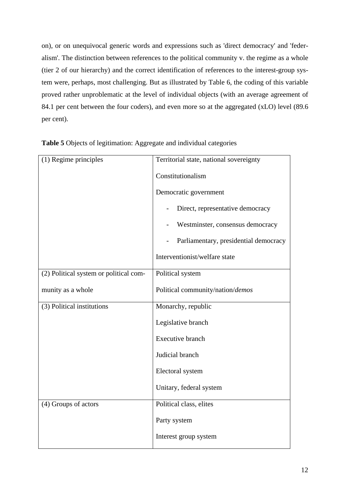on), or on unequivocal generic words and expressions such as 'direct democracy' and 'federalism'. The distinction between references to the political community v. the regime as a whole (tier 2 of our hierarchy) and the correct identification of references to the interest-group system were, perhaps, most challenging. But as illustrated by Table 6, the coding of this variable proved rather unproblematic at the level of individual objects (with an average agreement of 84.1 per cent between the four coders), and even more so at the aggregated (xLO) level (89.6 per cent).

| (1) Regime principles                  | Territorial state, national sovereignty                      |
|----------------------------------------|--------------------------------------------------------------|
|                                        | Constitutionalism                                            |
|                                        | Democratic government                                        |
|                                        | Direct, representative democracy<br>$\overline{\phantom{0}}$ |
|                                        | Westminster, consensus democracy                             |
|                                        | Parliamentary, presidential democracy                        |
|                                        | Interventionist/welfare state                                |
| (2) Political system or political com- | Political system                                             |
| munity as a whole                      | Political community/nation/demos                             |
| (3) Political institutions             | Monarchy, republic                                           |
|                                        | Legislative branch                                           |
|                                        | <b>Executive branch</b>                                      |
|                                        | Judicial branch                                              |
|                                        | Electoral system                                             |
|                                        | Unitary, federal system                                      |
| (4) Groups of actors                   | Political class, elites                                      |
|                                        | Party system                                                 |
|                                        | Interest group system                                        |

**Table 5** Objects of legitimation: Aggregate and individual categories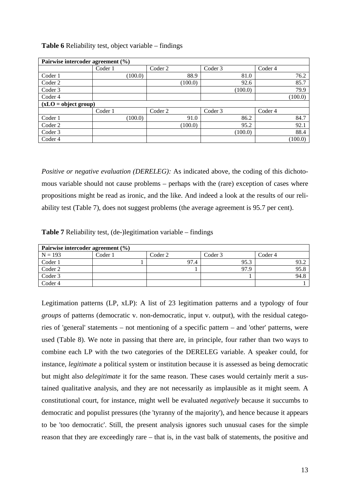| <b>Table 6</b> Reliability test, object variable – findings |  |  |
|-------------------------------------------------------------|--|--|
|-------------------------------------------------------------|--|--|

| Pairwise intercoder agreement (%) |         |         |         |         |         |         |                    |         |
|-----------------------------------|---------|---------|---------|---------|---------|---------|--------------------|---------|
|                                   | Coder 1 |         | Coder 2 |         | Coder 3 |         | Coder 4            |         |
| Coder 1                           |         | (100.0) |         | 88.9    |         | 81.0    |                    | 76.2    |
| Coder 2                           |         |         |         | (100.0) |         | 92.6    |                    | 85.7    |
| Coder 3                           |         |         |         |         |         | (100.0) |                    | 79.9    |
| Coder 4                           |         |         |         |         |         |         |                    | (100.0) |
| $(xLO = object group)$            |         |         |         |         |         |         |                    |         |
|                                   | Coder 1 |         | Coder 2 |         | Coder 3 |         | Coder <sub>4</sub> |         |
| Coder 1                           |         | (100.0) |         | 91.0    |         | 86.2    |                    | 84.7    |
| Coder 2                           |         |         |         | (100.0) |         | 95.2    |                    | 92.1    |
| Coder 3                           |         |         |         |         |         | (100.0) |                    | 88.4    |
| Coder 4                           |         |         |         |         |         |         |                    | (100.0) |

*Positive or negative evaluation (DERELEG):* As indicated above, the coding of this dichotomous variable should not cause problems – perhaps with the (rare) exception of cases where propositions might be read as ironic, and the like. And indeed a look at the results of our reliability test (Table 7), does not suggest problems (the average agreement is 95.7 per cent).

**Table 7** Reliability test, (de-)legitimation variable – findings

| Pairwise intercoder agreement (%) |         |         |         |         |
|-----------------------------------|---------|---------|---------|---------|
| $N = 193$                         | Coder 1 | Coder 2 | Coder 3 | Coder 4 |
| Coder 1                           |         | 97.4    | 95.3    | 93.2    |
| Coder 2                           |         |         | 97.9    | 95.8    |
| Coder 3                           |         |         |         | 94.8    |
| Coder 4                           |         |         |         |         |

Legitimation patterns (LP, xLP): A list of 23 legitimation patterns and a typology of four *groups* of patterns (democratic v. non-democratic, input v. output), with the residual categories of 'general' statements – not mentioning of a specific pattern – and 'other' patterns, were used (Table 8). We note in passing that there are, in principle, four rather than two ways to combine each LP with the two categories of the DERELEG variable. A speaker could, for instance, *legitimate* a political system or institution because it is assessed as being democratic but might also *delegitimate* it for the same reason. These cases would certainly merit a sustained qualitative analysis, and they are not necessarily as implausible as it might seem. A constitutional court, for instance, might well be evaluated *negatively* because it succumbs to democratic and populist pressures (the 'tyranny of the majority'), and hence because it appears to be 'too democratic'. Still, the present analysis ignores such unusual cases for the simple reason that they are exceedingly rare – that is, in the vast balk of statements, the positive and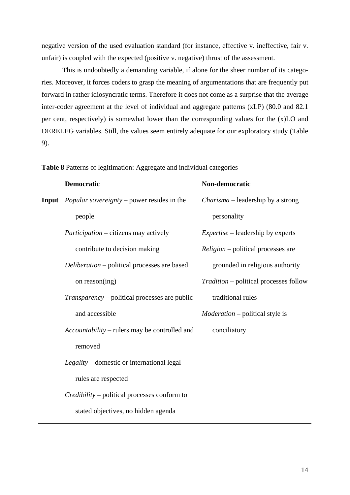negative version of the used evaluation standard (for instance, effective v. ineffective, fair v. unfair) is coupled with the expected (positive v. negative) thrust of the assessment.

 This is undoubtedly a demanding variable, if alone for the sheer number of its categories. Moreover, it forces coders to grasp the meaning of argumentations that are frequently put forward in rather idiosyncratic terms. Therefore it does not come as a surprise that the average inter-coder agreement at the level of individual and aggregate patterns (xLP) (80.0 and 82.1 per cent, respectively) is somewhat lower than the corresponding values for the (x)LO and DERELEG variables. Still, the values seem entirely adequate for our exploratory study (Table 9).

| <b>Democratic</b>                                       | Non-democratic                                |
|---------------------------------------------------------|-----------------------------------------------|
| <b>Input</b> Popular sovereignty – power resides in the | Charisma - leadership by a strong             |
| people                                                  | personality                                   |
| <i>Participation</i> – citizens may actively            | <i>Expertise</i> – leadership by experts      |
| contribute to decision making                           | <i>Religion</i> – political processes are     |
| <i>Deliberation</i> – political processes are based     | grounded in religious authority               |
| on reason $($ ing $)$                                   | <i>Tradition</i> – political processes follow |
| <i>Transparency</i> – political processes are public    | traditional rules                             |
| and accessible                                          | <i>Moderation</i> – political style is        |
| Accountability – rulers may be controlled and           | conciliatory                                  |
| removed                                                 |                                               |
| Legality – domestic or international legal              |                                               |
| rules are respected                                     |                                               |
| <i>Credibility</i> – political processes conform to     |                                               |
| stated objectives, no hidden agenda                     |                                               |

**Table 8** Patterns of legitimation: Aggregate and individual categories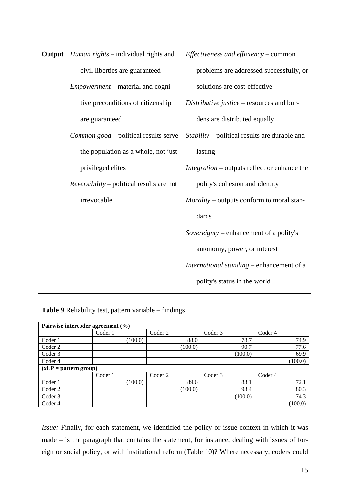| <b>Output</b> <i>Human rights</i> – individual rights and | Effectiveness and efficiency – common               |
|-----------------------------------------------------------|-----------------------------------------------------|
| civil liberties are guaranteed                            | problems are addressed successfully, or             |
| <i>Empowerment</i> – material and cogni-                  | solutions are cost-effective                        |
| tive preconditions of citizenship                         | Distributive justice – resources and bur-           |
| are guaranteed                                            | dens are distributed equally                        |
| Common good – political results serve                     | Stability – political results are durable and       |
| the population as a whole, not just                       | lasting                                             |
| privileged elites                                         | <i>Integration</i> – outputs reflect or enhance the |
| $Reversibility$ – political results are not               | polity's cohesion and identity                      |
| irrevocable                                               | Morality – outputs conform to moral stan-           |
|                                                           | dards                                               |
|                                                           | Sovereignty – enhancement of a polity's             |
|                                                           | autonomy, power, or interest                        |
|                                                           | International standing – enhancement of a           |
|                                                           | polity's status in the world                        |
|                                                           |                                                     |

**Table 9** Reliability test, pattern variable – findings

| Pairwise intercoder agreement (%) |         |         |         |         |         |
|-----------------------------------|---------|---------|---------|---------|---------|
|                                   | Coder 1 | Coder 2 |         | Coder 3 | Coder 4 |
| Coder 1                           | (100.0) |         | 88.0    | 78.7    | 74.9    |
| Coder 2                           |         |         | (100.0) | 90.7    | 77.6    |
| Coder 3                           |         |         |         | (100.0) | 69.9    |
| Coder 4                           |         |         |         |         | (100.0) |
| $(xLP = pattern group)$           |         |         |         |         |         |
|                                   | Coder 1 | Coder 2 |         | Coder 3 | Coder 4 |
| Coder 1                           | (100.0) |         | 89.6    | 83.1    | 72.1    |
| Coder 2                           |         |         | (100.0) | 93.4    | 80.3    |
| Coder 3                           |         |         |         | (100.0) | 74.3    |
| Coder 4                           |         |         |         |         | (100.0) |

*Issue:* Finally, for each statement, we identified the policy or issue context in which it was made – is the paragraph that contains the statement, for instance, dealing with issues of foreign or social policy, or with institutional reform (Table 10)? Where necessary, coders could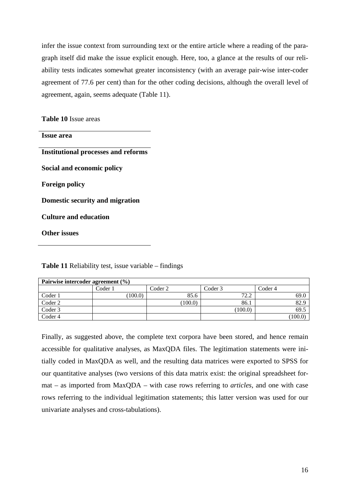infer the issue context from surrounding text or the entire article where a reading of the paragraph itself did make the issue explicit enough. Here, too, a glance at the results of our reliability tests indicates somewhat greater inconsistency (with an average pair-wise inter-coder agreement of 77.6 per cent) than for the other coding decisions, although the overall level of agreement, again, seems adequate (Table 11).

**Table 10** Issue areas

| <b>Issue area</b>                          |
|--------------------------------------------|
| <b>Institutional processes and reforms</b> |
| Social and economic policy                 |
| <b>Foreign policy</b>                      |
| Domestic security and migration            |
| <b>Culture and education</b>               |
| Other issues                               |

| Pairwise intercoder agreement $(\% )$ |         |         |         |         |
|---------------------------------------|---------|---------|---------|---------|
|                                       | Coder 1 | Coder 2 | Coder 3 | Coder 4 |
| Coder 1                               | (100.0) | 85.6    | 72.2    | 69.0    |
| Coder 2                               |         | (100.0) | 86.1    | 82.9    |
| Coder 3                               |         |         | (100.0) | 69.5    |
| Coder 4                               |         |         |         | (100.0) |

**Table 11** Reliability test, issue variable – findings

Finally, as suggested above, the complete text corpora have been stored, and hence remain accessible for qualitative analyses, as MaxQDA files. The legitimation statements were initially coded in MaxQDA as well, and the resulting data matrices were exported to SPSS for our quantitative analyses (two versions of this data matrix exist: the original spreadsheet format – as imported from MaxQDA – with case rows referring to *articles*, and one with case rows referring to the individual legitimation statements; this latter version was used for our univariate analyses and cross-tabulations).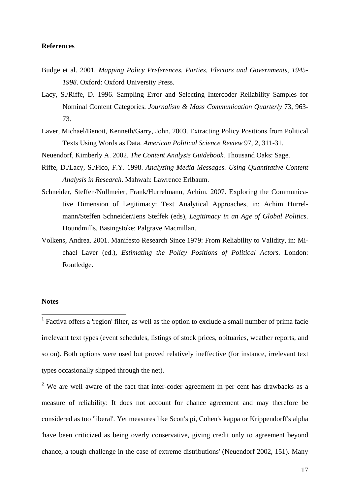## **References**

- Budge et al. 2001. *Mapping Policy Preferences. Parties, Electors and Governments, 1945- 1998*. Oxford: Oxford University Press.
- Lacy, S./Riffe, D. 1996. Sampling Error and Selecting Intercoder Reliability Samples for Nominal Content Categories. *Journalism & Mass Communication Quarterly* 73, 963- 73.
- Laver, Michael/Benoit, Kenneth/Garry, John. 2003. Extracting Policy Positions from Political Texts Using Words as Data. *American Political Science Review* 97, 2, 311-31.
- Neuendorf, Kimberly A. 2002. *The Content Analysis Guidebook*. Thousand Oaks: Sage.
- Riffe, D./Lacy, S./Fico, F.Y. 1998. *Analyzing Media Messages. Using Quantitative Content Analysis in Research*. Mahwah: Lawrence Erlbaum.
- Schneider, Steffen/Nullmeier, Frank/Hurrelmann, Achim. 2007. Exploring the Communicative Dimension of Legitimacy: Text Analytical Approaches, in: Achim Hurrelmann/Steffen Schneider/Jens Steffek (eds), *Legitimacy in an Age of Global Politics*. Houndmills, Basingstoke: Palgrave Macmillan.
- Volkens, Andrea. 2001. Manifesto Research Since 1979: From Reliability to Validity, in: Michael Laver (ed.), *Estimating the Policy Positions of Political Actors*. London: Routledge.

## **Notes**

1

<sup>1</sup> Factiva offers a 'region' filter, as well as the option to exclude a small number of prima facie irrelevant text types (event schedules, listings of stock prices, obituaries, weather reports, and so on). Both options were used but proved relatively ineffective (for instance, irrelevant text types occasionally slipped through the net).

 $2$  We are well aware of the fact that inter-coder agreement in per cent has drawbacks as a measure of reliability: It does not account for chance agreement and may therefore be considered as too 'liberal'. Yet measures like Scott's pi, Cohen's kappa or Krippendorff's alpha 'have been criticized as being overly conservative, giving credit only to agreement beyond chance, a tough challenge in the case of extreme distributions' (Neuendorf 2002, 151). Many